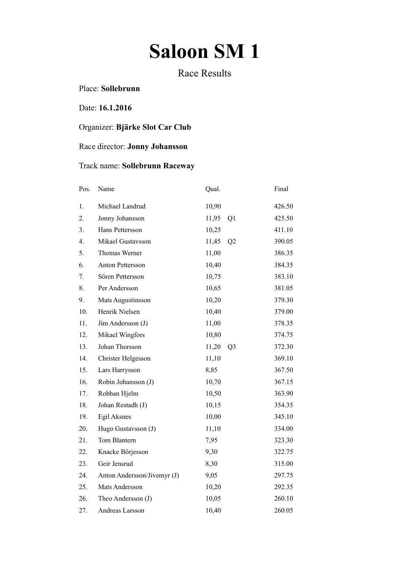# **Saloon SM 1**

## Race Results

Place: **Sollebrunn**

Date: **16.1.2016**

# Organizer: **Bjärke Slot Car Club**

### Race director: **Jonny Johansson**

### Track name: **Sollebrunn Raceway**

| Pos. | Name                        | Qual.                   | Final  |
|------|-----------------------------|-------------------------|--------|
| 1.   | Michael Landrud             | 10,90                   | 426.50 |
| 2.   | Jonny Johansson             | 11,95<br>Q <sub>1</sub> | 425.50 |
| 3.   | Hans Pettersson             | 10,25                   | 411.10 |
| 4.   | Mikael Gustavsson           | 11,45<br>Q2             | 390.05 |
| 5.   | Thomas Werner               | 11,00                   | 386.35 |
| 6.   | <b>Anton Pettersson</b>     | 10,40                   | 384.35 |
| 7.   | Sören Pettersson            | 10,75                   | 383.10 |
| 8.   | Per Andersson               | 10,65                   | 381.05 |
| 9.   | Mats Augustinsson           | 10,20                   | 379.30 |
| 10.  | Henrik Nielsen              | 10,40                   | 379.00 |
| 11.  | Jim Andersson (J)           | 11,00                   | 378.35 |
| 12.  | Mikael Wingfors             | 10,80                   | 374.75 |
| 13.  | Johan Thorsson              | 11,20<br>Q <sub>3</sub> | 372.30 |
| 14.  | Christer Helgesson          | 11,10                   | 369.10 |
| 15.  | Lars Harrysson              | 8,85                    | 367.50 |
| 16.  | Robin Johansson (J)         | 10,70                   | 367.15 |
| 17.  | Robban Hjelm                | 10,50                   | 363.90 |
| 18.  | Johan Restadh (J)           | 10,15                   | 354.35 |
| 19.  | Egil Aksnes                 | 10,00                   | 345.10 |
| 20.  | Hugo Gustavsson (J)         | 11,10                   | 334.00 |
| 21.  | Tom Blantern                | 7,95                    | 323.30 |
| 22.  | Knacke Börjesson            | 9,30                    | 322.75 |
| 23.  | Geir Jensrud                | 8,30                    | 315.00 |
| 24.  | Anton Andersson/Jivemyr (J) | 9,05                    | 297.75 |
| 25.  | Mats Andersson              | 10,20                   | 292.35 |
| 26.  | Theo Andersson (J)          | 10,05                   | 260.10 |
| 27.  | Andreas Larsson             | 10,40                   | 260.05 |